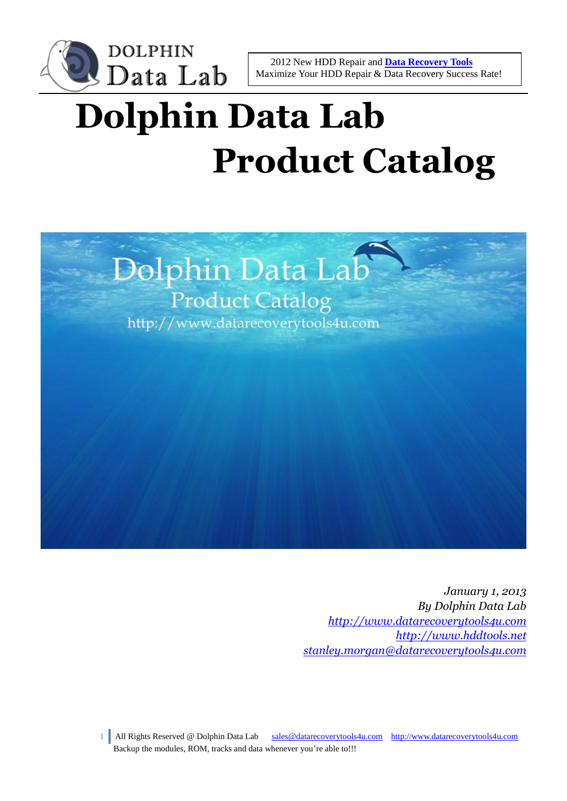

# **Dolphin Data Lab Product Catalog**



*January 1, 2013 By Dolphin Data Lab [http://www.datarecoverytools4u.com](http://www.datarecoverytools4u.com/) [http://www.hddtools.net](http://www.hddtools.net/) [stanley.morgan@datarecoverytools4u.com](mailto:stanley.morgan@datarecoverytools4u.com)*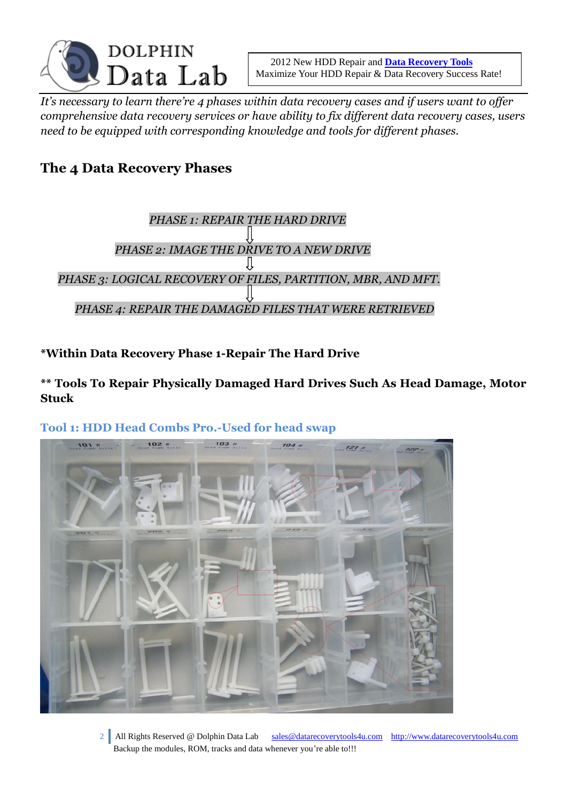

*It's necessary to learn there're 4 phases within data recovery cases and if users want to offer comprehensive data recovery services or have ability to fix different data recovery cases, users need to be equipped with corresponding knowledge and tools for different phases.*

# **The 4 Data Recovery Phases**



**\*Within Data Recovery Phase 1-Repair The Hard Drive**

**\*\* Tools To Repair Physically Damaged Hard Drives Such As Head Damage, Motor Stuck**

# $102''$  $103n$  $\frac{1}{2}$

**Tool 1: HDD Head Combs Pro.-Used for head swap**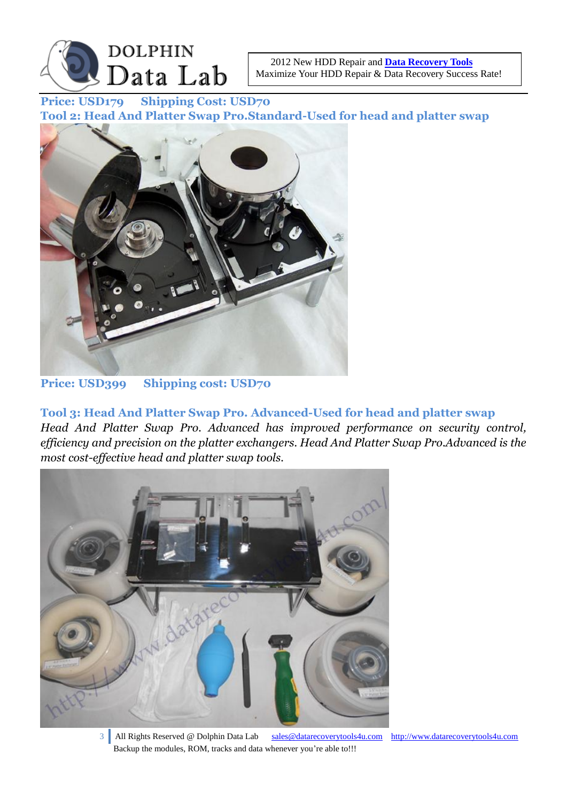

**Price: USD179 Shipping Cost: USD70 Tool 2: Head And Platter Swap Pro.Standard-Used for head and platter swap**



#### **Price: USD399 Shipping cost: USD70**

**Tool 3: Head And Platter Swap Pro. Advanced-Used for head and platter swap** *Head And Platter Swap Pro. Advanced has improved performance on security control, efficiency and precision on the platter exchangers. Head And Platter Swap Pro.Advanced is the most cost-effective head and platter swap tools.*

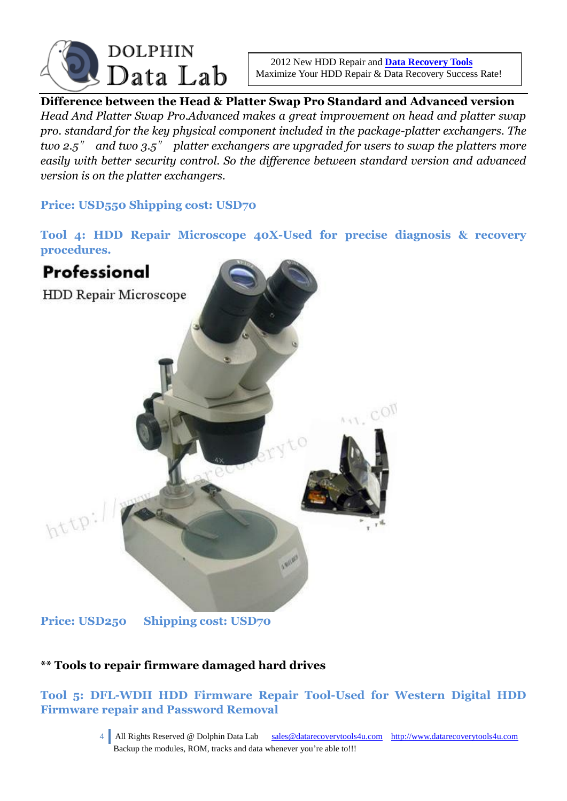

**Difference between the Head & Platter Swap Pro Standard and Advanced version** *Head And Platter Swap Pro.Advanced makes a great improvement on head and platter swap pro. standard for the key physical component included in the package-platter exchangers. The two 2.5*″ *and two 3.5*″ *platter exchangers are upgraded for users to swap the platters more easily with better security control. So the difference between standard version and advanced version is on the platter exchangers.*

**Price: USD550 Shipping cost: USD70**

**Tool 4: HDD Repair Microscope 40X-Used for precise diagnosis & recovery procedures.**



# **\*\* Tools to repair firmware damaged hard drives**

# **Tool 5: DFL-WDII HDD Firmware Repair Tool-Used for Western Digital HDD Firmware repair and Password Removal**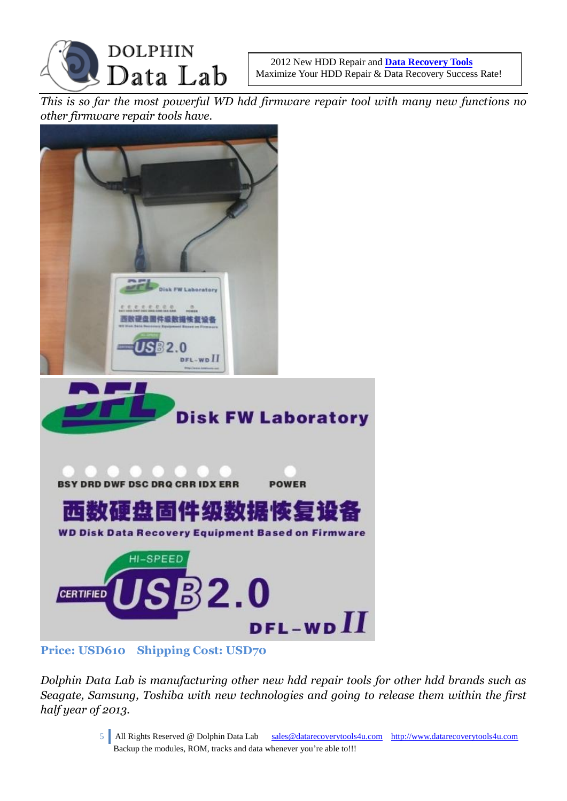

*This is so far the most powerful WD hdd firmware repair tool with many new functions no other firmware repair tools have.*



#### **Price: USD610 Shipping Cost: USD70**

*Dolphin Data Lab is manufacturing other new hdd repair tools for other hdd brands such as Seagate, Samsung, Toshiba with new technologies and going to release them within the first half year of 2013.*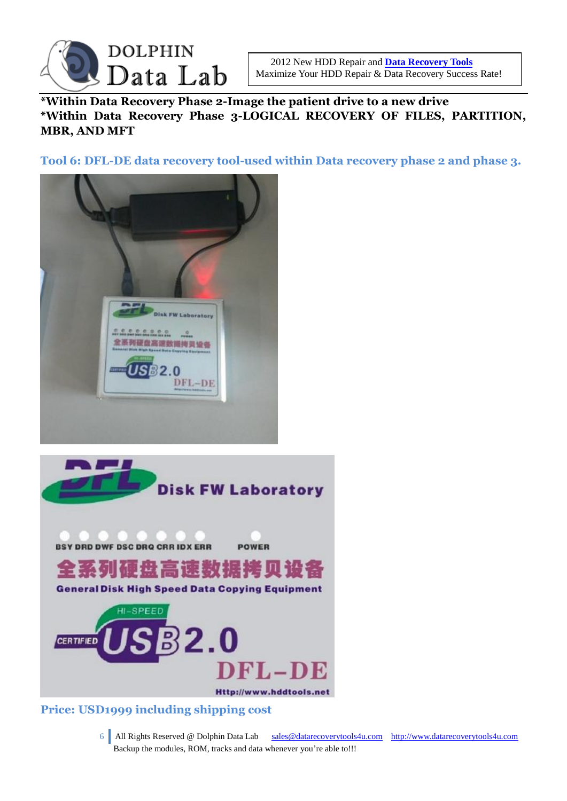

**\*Within Data Recovery Phase 2-Image the patient drive to a new drive \*Within Data Recovery Phase 3-LOGICAL RECOVERY OF FILES, PARTITION, MBR, AND MFT**

**Tool 6: DFL-DE data recovery tool-used within Data recovery phase 2 and phase 3.**





#### **Price: USD1999 including shipping cost**